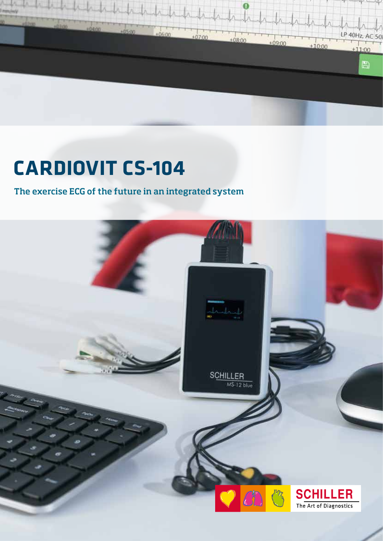

# **CARDIOVIT CS-104**

The exercise ECG of the future in an integrated system

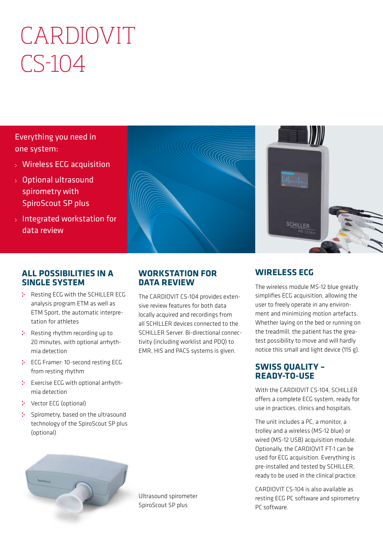# CARDIOVIT  $CS-104$

Everything you need in one system:

- Wireless ECG acquisition
- Optional ultrasound spirometry with SpiroScout SP plus
- Integrated workstation for data review



### **ALL POSSIBILITIES IN A SINGLE SYSTEM**

- \* Resting ECG with the SCHILLER ECG analysis program ETM as well as ETM Sport, the automatic interpretation for athletes
- **:** Resting rhythm recording up to 20 minutes, with optional arrhythmia detection
- ECG Framer: 10-second resting ECG from resting rhythm
- : Exercise ECG with optional arrhythmia detection
- **:** Vector ECG (optional)
- : Spirometry, based on the ultrasound technology of the SpiroScout SP plus (optional)

### **WORKSTATION FOR DATA REVIEW**

The CARDIOVIT CS-104 provides extensive review features for both data locally acquired and recordings from all SCHILLER devices connected to the SCHILLER Server. Bi-directional connectivity (including worklist and PDQ) to EMR, HIS and PACS systems is given.

## **WIRELESS ECG**

SCHILLER

The wireless module MS-12 blue greatly simplifies ECG acquisition, allowing the user to freely operate in any environment and minimizing motion artefacts. Whether laying on the bed or running on the treadmill, the patient has the greatest possibility to move and will hardly notice this small and light device (115 g).

### **SWISS QUALITY – READY-TO-USE**

With the CARDIOVIT CS-104, SCHILLER offers a complete ECG system, ready for use in practices, clinics and hospitals.

The unit includes a PC, a monitor, a trolley and a wireless (MS-12 blue) or wired (MS-12 USB) acquisition module. Optionally, the CARDIOVIT FT-1 can be used for ECG acquisition. Everything is pre-installed and tested by SCHILLER, ready to be used in the clinical practice.

CARDIOVIT CS-104 is also available as resting ECG PC software and spirometry PC software.



Ultrasound spirometer SpiroScout SP plus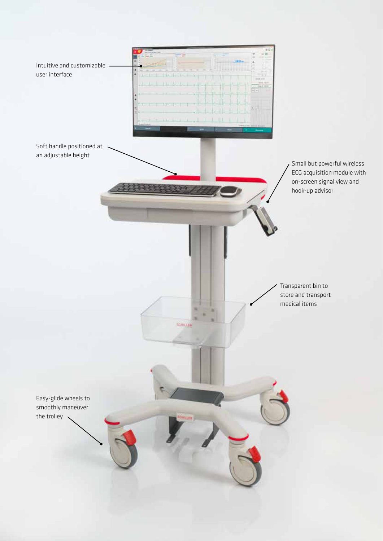